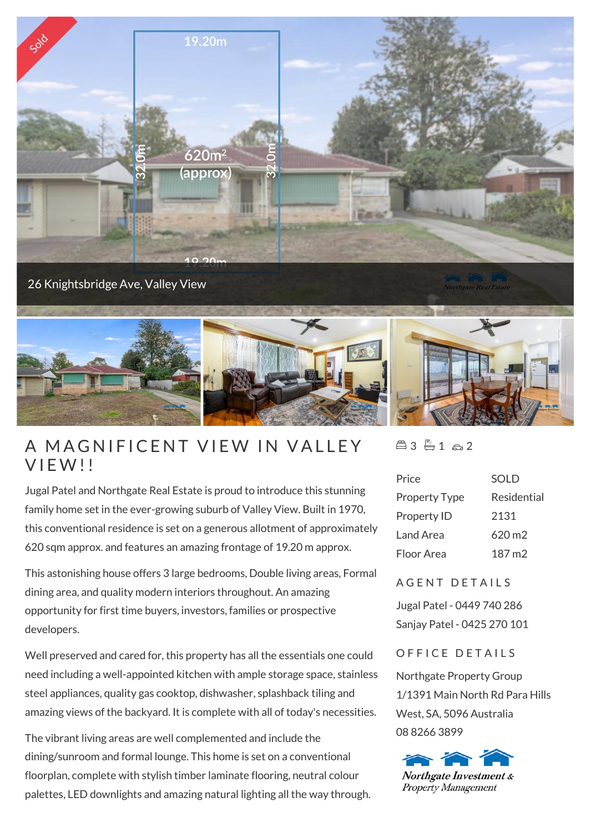

26 Knightsbridge Ave, Valley View



## A MAGNIF<br>VIEW!!

Jugal Patel and Northgate Real Estate is proud to introduce this stunning family home set in the ever-growing suburb of Valley View. Built in 1970, this conventional residence is set on a generous allotment of approximately 620 sqm approx. and features an amazing frontage of 19.20 m approx.

This astonishing house offers 3 large bedrooms, Double living areas, Formal dining area, and quality modern interiors throughout. An amazing opportunity for first time buyers, investors, families or prospective developers.

Well preserved and cared for, this property has all the essentials one could need including a well-appointed kitchen with ample storage space, stainless steel appliances, quality gas cooktop, dishwasher, splashback tiling and amazing views of the backyard. It is complete with all of today's necessities.

The vibrant living areas are well complemented and include the dining/sunroom and formal lounge. This home is set on a conventional floorplan, complete with stylish timber laminate flooring, neutral colour palettes, LED downlights and amazing natural lighting all the way through.  $43 - 1 - 2$ 

| Price                | <b>SOLD</b>        |
|----------------------|--------------------|
| <b>Property Type</b> | Residential        |
| Property ID          | 2131               |
| Land Area            | $620 \,\mathrm{m}$ |
| Floor Area           | 187 m2             |
|                      |                    |

## A GENT DETAILS

Jugal Patel - 0449 740 286 Sanjay Patel - 0425 270 101

## OFFICE DETAILS

Northgate Property Group 1/1391 Main North Rd Para Hills West, SA, 5096 Australia 08 8266 3899